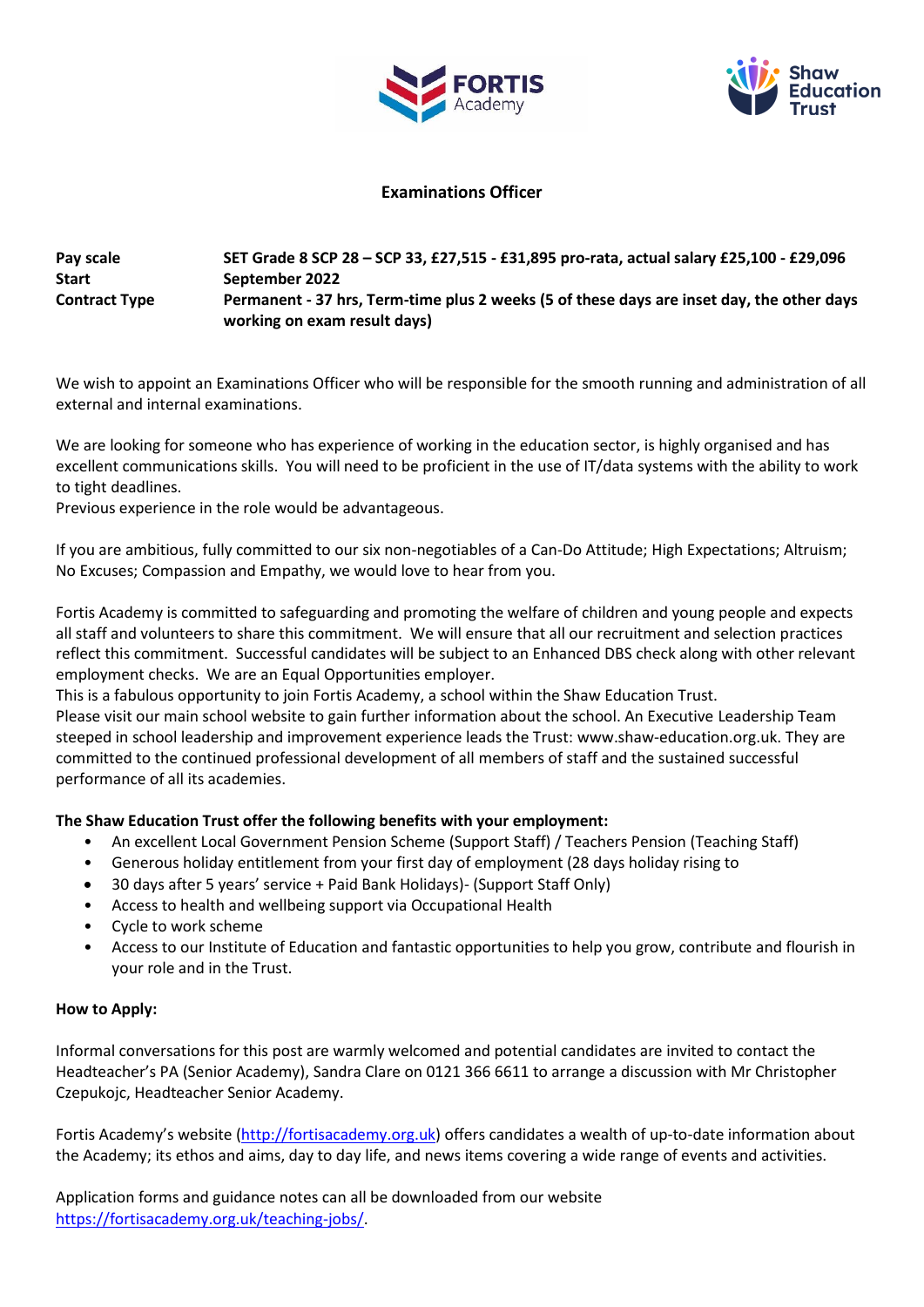



## **Examinations Officer**

## **Pay scale SET Grade 8 SCP 28 – SCP 33, £27,515 - £31,895 pro-rata, actual salary £25,100 - £29,096 Start September 2022 Contract Type Permanent - 37 hrs, Term-time plus 2 weeks (5 of these days are inset day, the other days working on exam result days)**

We wish to appoint an Examinations Officer who will be responsible for the smooth running and administration of all external and internal examinations.

We are looking for someone who has experience of working in the education sector, is highly organised and has excellent communications skills. You will need to be proficient in the use of IT/data systems with the ability to work to tight deadlines.

Previous experience in the role would be advantageous.

If you are ambitious, fully committed to our six non-negotiables of a Can-Do Attitude; High Expectations; Altruism; No Excuses; Compassion and Empathy, we would love to hear from you.

Fortis Academy is committed to safeguarding and promoting the welfare of children and young people and expects all staff and volunteers to share this commitment. We will ensure that all our recruitment and selection practices reflect this commitment. Successful candidates will be subject to an Enhanced DBS check along with other relevant employment checks. We are an Equal Opportunities employer.

This is a fabulous opportunity to join Fortis Academy, a school within the Shaw Education Trust.

Please visit our main school website to gain further information about the school. An Executive Leadership Team steeped in school leadership and improvement experience leads the Trust: www.shaw-education.org.uk. They are committed to the continued professional development of all members of staff and the sustained successful performance of all its academies.

## **The Shaw Education Trust offer the following benefits with your employment:**

- An excellent Local Government Pension Scheme (Support Staff) / Teachers Pension (Teaching Staff)
- Generous holiday entitlement from your first day of employment (28 days holiday rising to
- 30 days after 5 years' service + Paid Bank Holidays)- (Support Staff Only)
- Access to health and wellbeing support via Occupational Health
- Cycle to work scheme
- Access to our Institute of Education and fantastic opportunities to help you grow, contribute and flourish in your role and in the Trust.

## **How to Apply:**

Informal conversations for this post are warmly welcomed and potential candidates are invited to contact the Headteacher's PA (Senior Academy), Sandra Clare on 0121 366 6611 to arrange a discussion with Mr Christopher Czepukojc, Headteacher Senior Academy.

Fortis Academy's website [\(http://fortisacademy.org.uk\)](http://fortisacademy.org.uk/) offers candidates a wealth of up-to-date information about the Academy; its ethos and aims, day to day life, and news items covering a wide range of events and activities.

Application forms and guidance notes can all be downloaded from our website [https://fortisacademy.org.uk/teaching-jobs/.](https://fortisacademy.org.uk/teaching-jobs/)